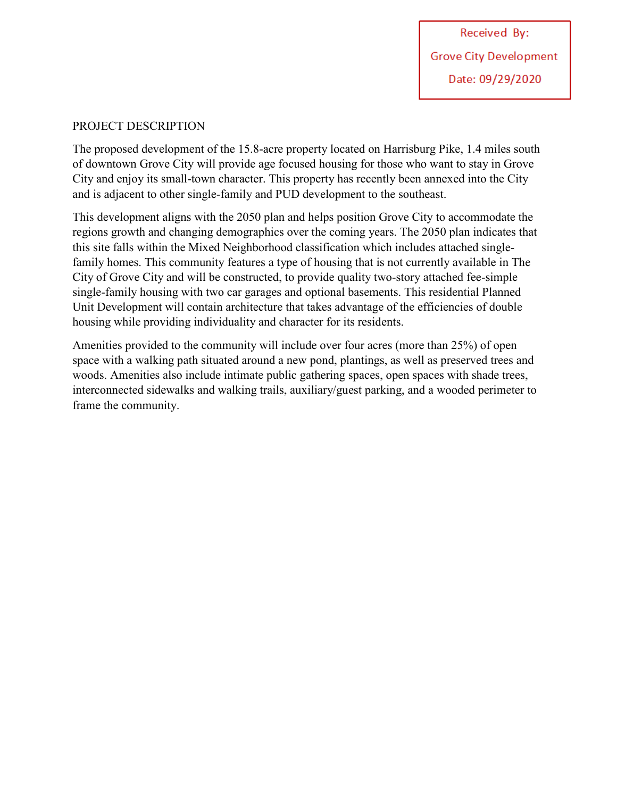### PROJECT DESCRIPTION

The proposed development of the 15.8-acre property located on Harrisburg Pike, 1.4 miles south of downtown Grove City will provide age focused housing for those who want to stay in Grove City and enjoy its small-town character. This property has recently been annexed into the City and is adjacent to other single-family and PUD development to the southeast.

This development aligns with the 2050 plan and helps position Grove City to accommodate the regions growth and changing demographics over the coming years. The 2050 plan indicates that this site falls within the Mixed Neighborhood classification which includes attached singlefamily homes. This community features a type of housing that is not currently available in The City of Grove City and will be constructed, to provide quality two-story attached fee-simple single-family housing with two car garages and optional basements. This residential Planned Unit Development will contain architecture that takes advantage of the efficiencies of double housing while providing individuality and character for its residents.

Amenities provided to the community will include over four acres (more than 25%) of open space with a walking path situated around a new pond, plantings, as well as preserved trees and woods. Amenities also include intimate public gathering spaces, open spaces with shade trees, interconnected sidewalks and walking trails, auxiliary/guest parking, and a wooded perimeter to frame the community.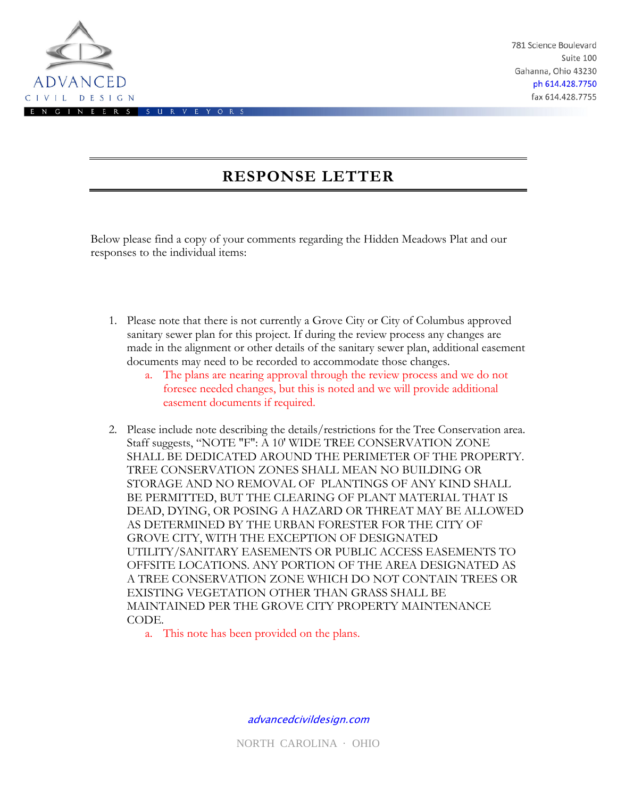

781 Science Boulevard Suite 100 Gahanna, Ohio 43230 ph 614.428.7750 fax 614.428.7755

# **RESPONSE LETTER**

Below please find a copy of your comments regarding the Hidden Meadows Plat and our responses to the individual items:

- 1. Please note that there is not currently a Grove City or City of Columbus approved sanitary sewer plan for this project. If during the review process any changes are made in the alignment or other details of the sanitary sewer plan, additional easement documents may need to be recorded to accommodate those changes.
	- a. The plans are nearing approval through the review process and we do not foresee needed changes, but this is noted and we will provide additional easement documents if required.
- 2. Please include note describing the details/restrictions for the Tree Conservation area. Staff suggests, "NOTE "F": A 10' WIDE TREE CONSERVATION ZONE SHALL BE DEDICATED AROUND THE PERIMETER OF THE PROPERTY. TREE CONSERVATION ZONES SHALL MEAN NO BUILDING OR STORAGE AND NO REMOVAL OF PLANTINGS OF ANY KIND SHALL BE PERMITTED, BUT THE CLEARING OF PLANT MATERIAL THAT IS DEAD, DYING, OR POSING A HAZARD OR THREAT MAY BE ALLOWED AS DETERMINED BY THE URBAN FORESTER FOR THE CITY OF GROVE CITY, WITH THE EXCEPTION OF DESIGNATED UTILITY/SANITARY EASEMENTS OR PUBLIC ACCESS EASEMENTS TO OFFSITE LOCATIONS. ANY PORTION OF THE AREA DESIGNATED AS A TREE CONSERVATION ZONE WHICH DO NOT CONTAIN TREES OR EXISTING VEGETATION OTHER THAN GRASS SHALL BE MAINTAINED PER THE GROVE CITY PROPERTY MAINTENANCE CODE.
	- a. This note has been provided on the plans.

advancedcivildesign.com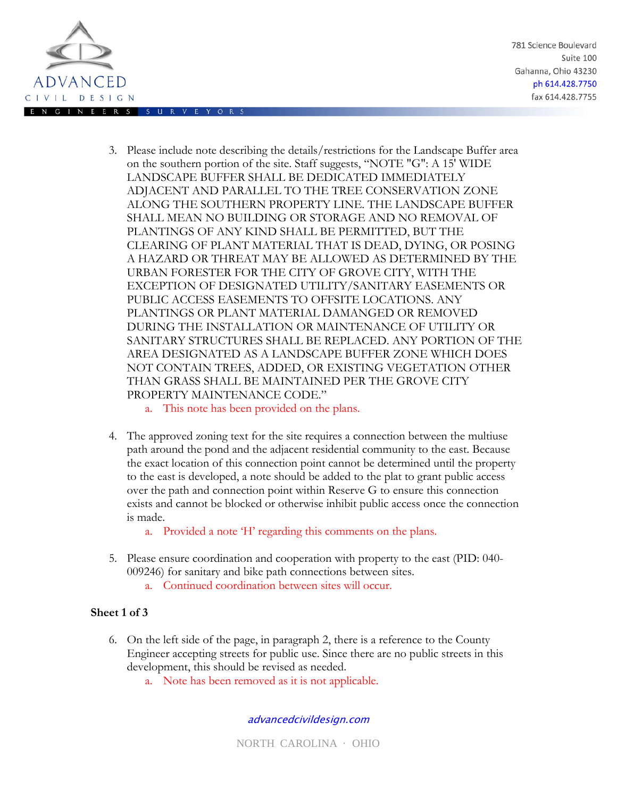

781 Science Boulevard Suite 100 Gahanna, Ohio 43230 ph 614.428.7750 fax 614.428.7755

- 3. Please include note describing the details/restrictions for the Landscape Buffer area on the southern portion of the site. Staff suggests, "NOTE "G": A 15' WIDE LANDSCAPE BUFFER SHALL BE DEDICATED IMMEDIATELY ADJACENT AND PARALLEL TO THE TREE CONSERVATION ZONE ALONG THE SOUTHERN PROPERTY LINE. THE LANDSCAPE BUFFER SHALL MEAN NO BUILDING OR STORAGE AND NO REMOVAL OF PLANTINGS OF ANY KIND SHALL BE PERMITTED, BUT THE CLEARING OF PLANT MATERIAL THAT IS DEAD, DYING, OR POSING A HAZARD OR THREAT MAY BE ALLOWED AS DETERMINED BY THE URBAN FORESTER FOR THE CITY OF GROVE CITY, WITH THE EXCEPTION OF DESIGNATED UTILITY/SANITARY EASEMENTS OR PUBLIC ACCESS EASEMENTS TO OFFSITE LOCATIONS. ANY PLANTINGS OR PLANT MATERIAL DAMANGED OR REMOVED DURING THE INSTALLATION OR MAINTENANCE OF UTILITY OR SANITARY STRUCTURES SHALL BE REPLACED. ANY PORTION OF THE AREA DESIGNATED AS A LANDSCAPE BUFFER ZONE WHICH DOES NOT CONTAIN TREES, ADDED, OR EXISTING VEGETATION OTHER THAN GRASS SHALL BE MAINTAINED PER THE GROVE CITY PROPERTY MAINTENANCE CODE."
	- a. This note has been provided on the plans.
- 4. The approved zoning text for the site requires a connection between the multiuse path around the pond and the adjacent residential community to the east. Because the exact location of this connection point cannot be determined until the property to the east is developed, a note should be added to the plat to grant public access over the path and connection point within Reserve G to ensure this connection exists and cannot be blocked or otherwise inhibit public access once the connection is made.
	- a. Provided a note 'H' regarding this comments on the plans.
- 5. Please ensure coordination and cooperation with property to the east (PID: 040- 009246) for sanitary and bike path connections between sites.
	- a. Continued coordination between sites will occur.

## **Sheet 1 of 3**

- 6. On the left side of the page, in paragraph 2, there is a reference to the County Engineer accepting streets for public use. Since there are no public streets in this development, this should be revised as needed.
	- a. Note has been removed as it is not applicable.

#### advancedcivildesign.com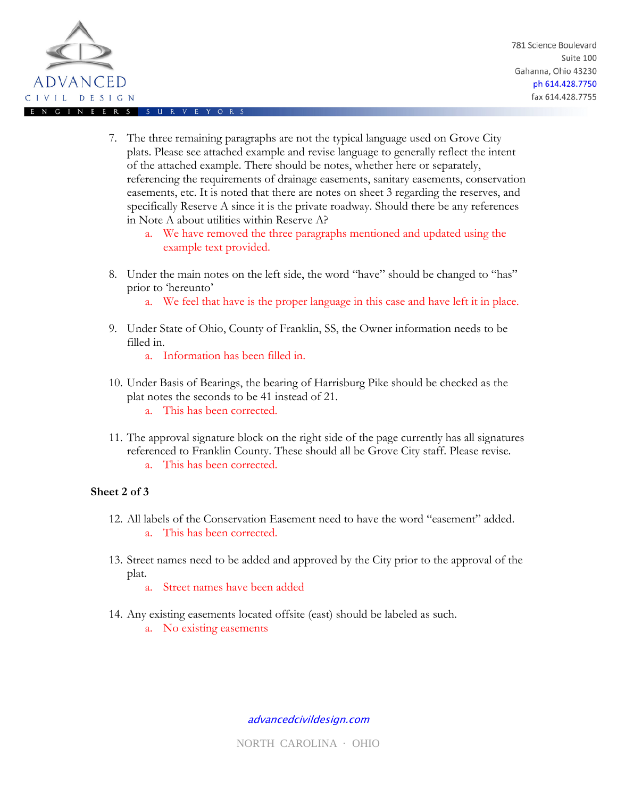

- 7. The three remaining paragraphs are not the typical language used on Grove City plats. Please see attached example and revise language to generally reflect the intent of the attached example. There should be notes, whether here or separately, referencing the requirements of drainage easements, sanitary easements, conservation easements, etc. It is noted that there are notes on sheet 3 regarding the reserves, and specifically Reserve A since it is the private roadway. Should there be any references in Note A about utilities within Reserve A?
	- a. We have removed the three paragraphs mentioned and updated using the example text provided.
- 8. Under the main notes on the left side, the word "have" should be changed to "has" prior to 'hereunto'
	- a. We feel that have is the proper language in this case and have left it in place.
- 9. Under State of Ohio, County of Franklin, SS, the Owner information needs to be filled in.
	- a. Information has been filled in.
- 10. Under Basis of Bearings, the bearing of Harrisburg Pike should be checked as the plat notes the seconds to be 41 instead of 21. a. This has been corrected.
- 11. The approval signature block on the right side of the page currently has all signatures referenced to Franklin County. These should all be Grove City staff. Please revise. a. This has been corrected.
	-

#### **Sheet 2 of 3**

- 12. All labels of the Conservation Easement need to have the word "easement" added. a. This has been corrected.
- 13. Street names need to be added and approved by the City prior to the approval of the plat.
	- a. Street names have been added
- 14. Any existing easements located offsite (east) should be labeled as such.
	- a. No existing easements

advancedcivildesign.com